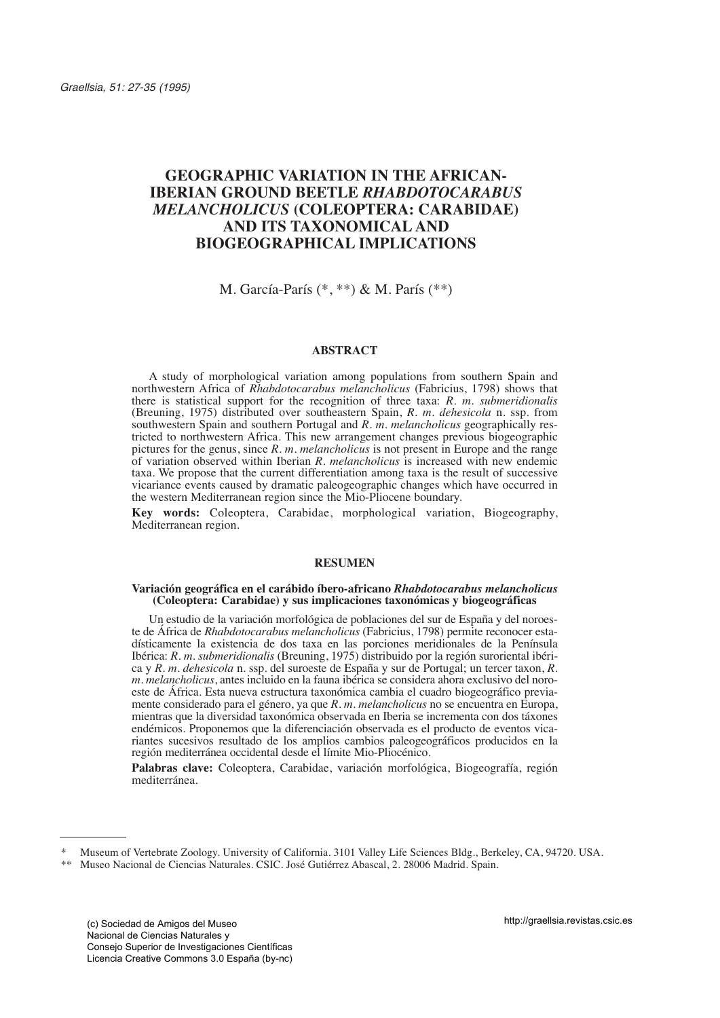# **GEOGRAPHIC VARIATION IN THE AFRICAN-IBERIAN GROUND BEETLE** *RHABDOTOCARABUS MELANCHOLICUS* **(COLEOPTERA: CARABIDAE) AND ITS TAXONOMICAL AND BIOGEOGRAPHICAL IMPLICATIONS**

# M. García-París (\*, \*\*) & M. París (\*\*)

# **ABSTRACT**

A study of morphological variation among populations from southern Spain and northwestern Africa of *Rhabdotocarabus melancholicus* (Fabricius, 1798) shows that there is statistical support for the recognition of three taxa: *R. m. submeridionalis* (Breuning, 1975) distributed over southeastern Spain, *R. m. dehesicola* n. ssp. from southwestern Spain and southern Portugal and *R. m. melancholicus* geographically restricted to northwestern Africa. This new arrangement changes previous biogeographic pictures for the genus, since *R. m. melancholicus* is not present in Europe and the range of variation observed within Iberian *R. melancholicus* is increased with new endemic taxa. We propose that the current differentiation among taxa is the result of successive vicariance events caused by dramatic paleogeographic changes which have occurred in the western Mediterranean region since the Mio-Pliocene boundary.

**Key words:** Coleoptera, Carabidae, morphological variation, Biogeography, Mediterranean region.

## **RESUMEN**

#### **Variación geográfica en el carábido íbero-africano** *Rhabdotocarabus melancholicus*  **(Coleoptera: Carabidae) y sus implicaciones taxonómicas y biogeográficas**

Un estudio de la variación morfológica de poblaciones del sur de España y del noroeste de África de *Rhabdotocarabus melancholicus* (Fabricius, 1798) permite reconocer estadísticamente la existencia de dos taxa en las porciones meridionales de la Península Ibérica: *R. m. submeridionalis* (Breuning, 1975) distribuido por la región suroriental ibérica y *R. m. dehesicola* n. ssp. del suroeste de España y sur de Portugal; un tercer taxon, *R. m. melancholicus*, antes incluido en la fauna ibérica se considera ahora exclusivo del noroeste de África. Esta nueva estructura taxonómica cambia el cuadro biogeográfico previamente considerado para el género, ya que *R. m. melancholicus* no se encuentra en Europa, mientras que la diversidad taxonómica observada en Iberia se incrementa con dos táxones endémicos. Proponemos que la diferenciación observada es el producto de eventos vicariantes sucesivos resultado de los amplios cambios paleogeográficos producidos en la región mediterránea occidental desde el límite Mio-Pliocénico.

**Palabras clave:** Coleoptera, Carabidae, variación morfológica, Biogeografía, región mediterránea.

<sup>\*</sup> Museum of Vertebrate Zoology. University of California. 3101 Valley Life Sciences Bldg., Berkeley, CA, 94720. USA.

<sup>\*\*</sup> Museo Nacional de Ciencias Naturales. CSIC. José Gutiérrez Abascal, 2. 28006 Madrid. Spain.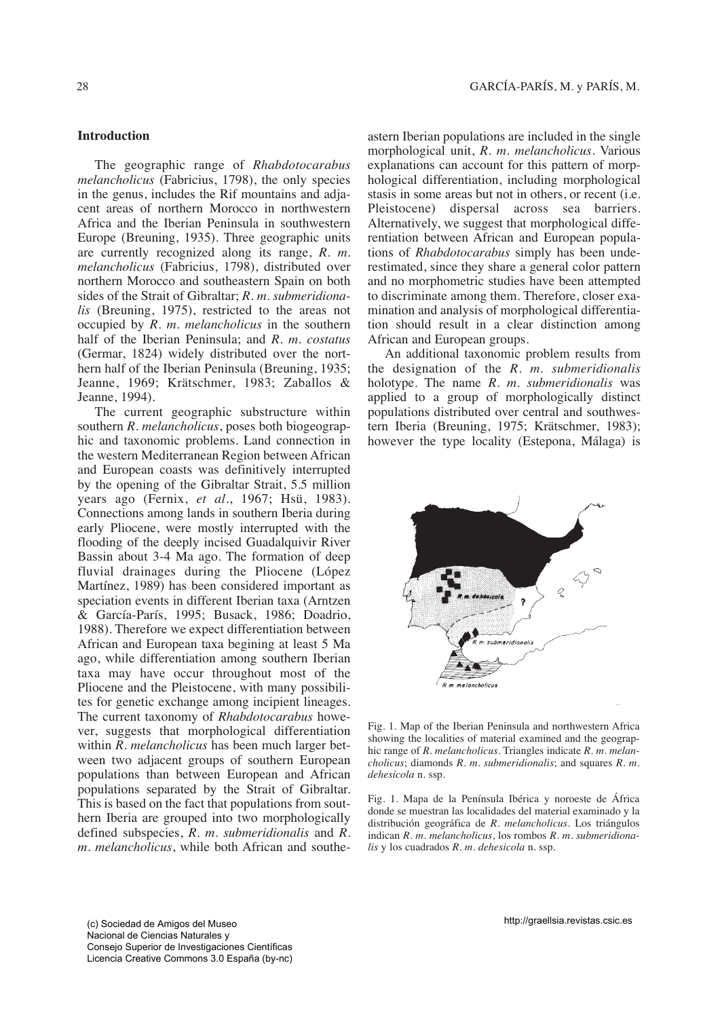The geographic range of *Rhabdotocarabus melancholicus* (Fabricius, 1798), the only species in the genus, includes the Rif mountains and adjacent areas of northern Morocco in northwestern Africa and the Iberian Peninsula in southwestern Europe (Breuning, 1935). Three geographic units are currently recognized along its range, *R. m. melancholicus* (Fabricius, 1798), distributed over northern Morocco and southeastern Spain on both sides of the Strait of Gibraltar; *R. m. submeridionalis* (Breuning, 1975), restricted to the areas not occupied by *R. m. melancholicus* in the southern half of the Iberian Peninsula; and *R. m. costatus* (Germar, 1824) widely distributed over the northern half of the Iberian Peninsula (Breuning, 1935; Jeanne, 1969; Krätschmer, 1983; Zaballos & Jeanne, 1994).

The current geographic substructure within southern *R. melancholicus*, poses both biogeographic and taxonomic problems. Land connection in the western Mediterranean Region between African and European coasts was definitively interrupted by the opening of the Gibraltar Strait, 5.5 million years ago (Fernix, *et al*., 1967; Hsü, 1983). Connections among lands in southern Iberia during early Pliocene, were mostly interrupted with the flooding of the deeply incised Guadalquivir River Bassin about 3-4 Ma ago. The formation of deep fluvial drainages during the Pliocene (López Martínez, 1989) has been considered important as speciation events in different Iberian taxa (Arntzen & García-París, 1995; Busack, 1986; Doadrio, 1988). Therefore we expect differentiation between African and European taxa begining at least 5 Ma ago, while differentiation among southern Iberian taxa may have occur throughout most of the Pliocene and the Pleistocene, with many possibilites for genetic exchange among incipient lineages. The current taxonomy of *Rhabdotocarabus* however, suggests that morphological differentiation within *R. melancholicus* has been much larger between two adjacent groups of southern European populations than between European and African populations separated by the Strait of Gibraltar. This is based on the fact that populations from southern Iberia are grouped into two morphologically defined subspecies, *R. m. submeridionalis* and *R. m. melancholicus*, while both African and southeastern Iberian populations are included in the single morphological unit, *R. m. melancholicus*. Various explanations can account for this pattern of morphological differentiation, including morphological stasis in some areas but not in others, or recent (i.e. Pleistocene) dispersal across sea barriers. Alternatively, we suggest that morphological differentiation between African and European populations of *Rhabdotocarabus* simply has been underestimated, since they share a general color pattern and no morphometric studies have been attempted to discriminate among them. Therefore, closer examination and analysis of morphological differentiation should result in a clear distinction among African and European groups.

An additional taxonomic problem results from the designation of the *R. m. submeridionalis* holotype. The name *R. m. submeridionalis* was applied to a group of morphologically distinct populations distributed over central and southwestern Iberia (Breuning, 1975; Krätschmer, 1983); however the type locality (Estepona, Málaga) is



Fig. 1. Map of the Iberian Peninsula and northwestern Africa showing the localities of material examined and the geographic range of *R. melancholicus*. Triangles indicate *R. m. melancholicus*; diamonds *R. m. submeridionalis*; and squares *R. m. dehesicola* n. ssp.

Fig. 1. Mapa de la Península Ibérica y noroeste de África donde se muestran las localidades del material examinado y la distribución geográfica de *R. melancholicus*. Los triángulos indican *R. m. melancholicus*, los rombos *R. m. submeridionalis* y los cuadrados *R. m. dehesicola* n. ssp.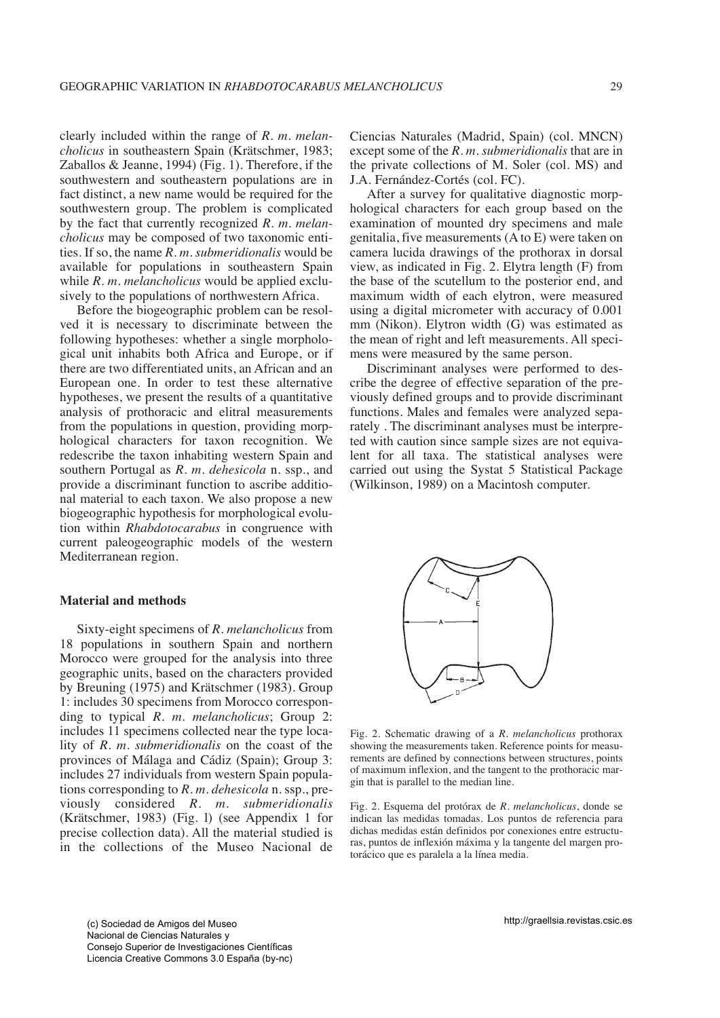clearly included within the range of *R. m. melancholicus* in southeastern Spain (Krätschmer, 1983; Zaballos & Jeanne, 1994) (Fig. 1). Therefore, if the southwestern and southeastern populations are in fact distinct, a new name would be required for the southwestern group. The problem is complicated by the fact that currently recognized *R. m. melancholicus* may be composed of two taxonomic entities. If so, the name *R. m. submeridionalis* would be available for populations in southeastern Spain while *R. m. melancholicus* would be applied exclusively to the populations of northwestern Africa.

Before the biogeographic problem can be resolved it is necessary to discriminate between the following hypotheses: whether a single morphological unit inhabits both Africa and Europe, or if there are two differentiated units, an African and an European one. In order to test these alternative hypotheses, we present the results of a quantitative analysis of prothoracic and elitral measurements from the populations in question, providing morphological characters for taxon recognition. We redescribe the taxon inhabiting western Spain and southern Portugal as *R. m. dehesicola* n. ssp., and provide a discriminant function to ascribe additional material to each taxon. We also propose a new biogeographic hypothesis for morphological evolution within *Rhabdotocarabus* in congruence with current paleogeographic models of the western Mediterranean region.

## **Material and methods**

Sixty-eight specimens of *R. melancholicus* from 18 populations in southern Spain and northern Morocco were grouped for the analysis into three geographic units, based on the characters provided by Breuning (1975) and Krätschmer (1983). Group 1: includes 30 specimens from Morocco corresponding to typical *R. m. melancholicus*; Group 2: includes 11 specimens collected near the type locality of *R. m. submeridionalis* on the coast of the provinces of Málaga and Cádiz (Spain); Group 3: includes 27 individuals from western Spain populations corresponding to *R. m. dehesicola* n. ssp., previously considered *R. m. submeridionalis* (Krätschmer, 1983) (Fig. l) (see Appendix 1 for precise collection data). All the material studied is in the collections of the Museo Nacional de Ciencias Naturales (Madrid, Spain) (col. MNCN) except some of the *R. m. submeridionalis* that are in the private collections of M. Soler (col. MS) and J.A. Fernández-Cortés (col. FC).

After a survey for qualitative diagnostic morphological characters for each group based on the examination of mounted dry specimens and male genitalia, five measurements (A to E) were taken on camera lucida drawings of the prothorax in dorsal view, as indicated in Fig. 2. Elytra length (F) from the base of the scutellum to the posterior end, and maximum width of each elytron, were measured using a digital micrometer with accuracy of 0.001 mm (Nikon). Elytron width (G) was estimated as the mean of right and left measurements. All specimens were measured by the same person.

Discriminant analyses were performed to describe the degree of effective separation of the previously defined groups and to provide discriminant functions. Males and females were analyzed separately . The discriminant analyses must be interpreted with caution since sample sizes are not equivalent for all taxa. The statistical analyses were carried out using the Systat 5 Statistical Package (Wilkinson, 1989) on a Macintosh computer.



Fig. 2. Schematic drawing of a *R. melancholicus* prothorax showing the measurements taken. Reference points for measurements are defined by connections between structures, points of maximum inflexion, and the tangent to the prothoracic margin that is parallel to the median line.

Fig. 2. Esquema del protórax de *R. melancholicus*, donde se indican las medidas tomadas. Los puntos de referencia para dichas medidas están definidos por conexiones entre estructuras, puntos de inflexión máxima y la tangente del margen protorácico que es paralela a la línea media.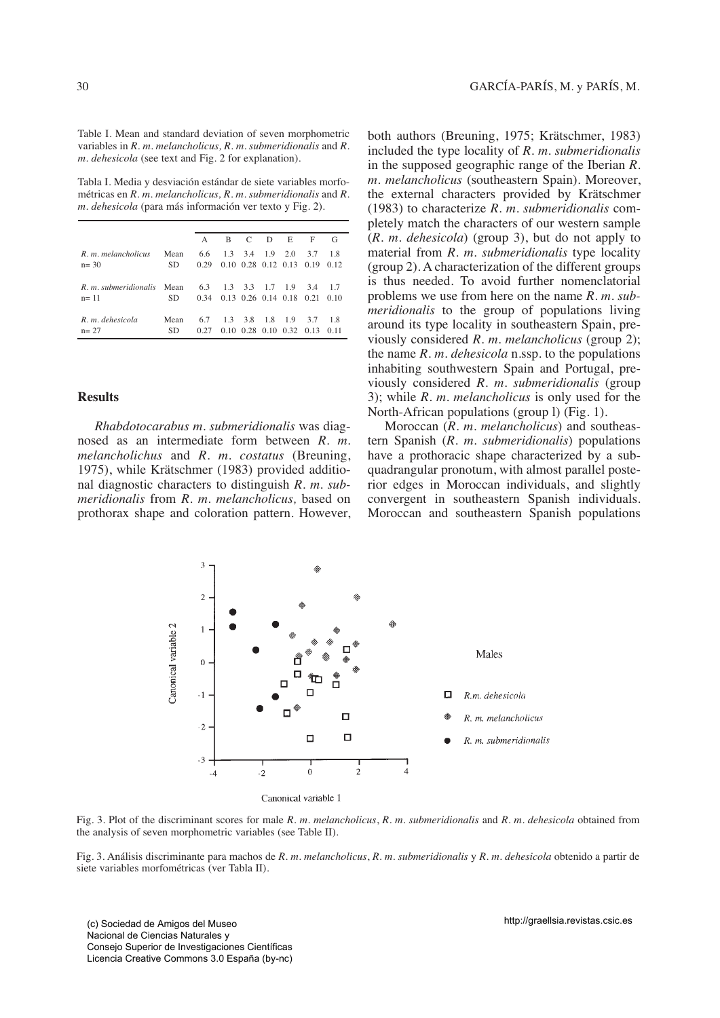Table I. Mean and standard deviation of seven morphometric variables in *R. m. melancholicus, R. m. submeridionalis* and *R. m. dehesicola* (see text and Fig. 2 for explanation).

Tabla I. Media y desviación estándar de siete variables morfométricas en *R. m. melancholicus, R. m. submeridionalis* and *R. m. dehesicola* (para más información ver texto y Fig. 2).

|                            |           | $\mathsf{A}$ | B               | $\mathbf C$ | D   | E                                       | F    | G    |
|----------------------------|-----------|--------------|-----------------|-------------|-----|-----------------------------------------|------|------|
| R. m. melancholicus        | Mean      | 6.6          | 1.3             | 3.4         | 1.9 | 2.0                                     | 3.7  | 18   |
| $n = 30$                   | <b>SD</b> | 0.29         |                 |             |     | $0.10 \quad 0.28 \quad 0.12 \quad 0.13$ | 0.19 | 0.12 |
|                            |           |              |                 |             |     |                                         |      |      |
| R. m. submeridionalis Mean |           | 6.3          | 1.3 3.3 1.7 1.9 |             |     |                                         | 3.4  | -17  |
| $n = 11$                   | SD.       | 0.34         |                 |             |     | $0.13$ $0.26$ $0.14$ $0.18$             | 0.21 | 010  |
|                            |           |              |                 |             |     |                                         |      |      |
| $R. m.$ dehesicola         | Mean      | 6.7          | 1.3             | 3.8         | 1.8 | - 1.9                                   | 3.7  | 18   |
| $n = 27$                   | <b>SD</b> | 0.27         |                 |             |     | $0.10 \quad 0.28 \quad 0.10 \quad 0.32$ | 0.13 | 0.11 |

# **Results**

*Rhabdotocarabus m. submeridionalis* was diagnosed as an intermediate form between *R. m. melancholichus* and *R. m. costatus* (Breuning, 1975), while Krätschmer (1983) provided additional diagnostic characters to distinguish *R. m. submeridionalis* from *R. m. melancholicus,* based on prothorax shape and coloration pattern. However, both authors (Breuning, 1975; Krätschmer, 1983) included the type locality of *R. m. submeridionalis* in the supposed geographic range of the Iberian *R. m. melancholicus* (southeastern Spain). Moreover, the external characters provided by Krätschmer (1983) to characterize *R. m. submeridionalis* completely match the characters of our western sample (*R. m. dehesicola*) (group 3), but do not apply to material from *R. m. submeridionalis* type locality (group 2). A characterization of the different groups is thus needed. To avoid further nomenclatorial problems we use from here on the name *R. m. submeridionalis* to the group of populations living around its type locality in southeastern Spain, previously considered *R. m. melancholicus* (group 2); the name *R. m. dehesicola* n.ssp. to the populations inhabiting southwestern Spain and Portugal, previously considered *R. m. submeridionalis* (group 3); while *R. m. melancholicus* is only used for the North-African populations (group l) (Fig. 1).

Moroccan (*R. m. melancholicus*) and southeastern Spanish (*R. m. submeridionalis*) populations have a prothoracic shape characterized by a subquadrangular pronotum, with almost parallel posterior edges in Moroccan individuals, and slightly convergent in southeastern Spanish individuals. Moroccan and southeastern Spanish populations



Fig. 3. Plot of the discriminant scores for male *R. m. melancholicus*, *R. m. submeridionalis* and *R. m. dehesicola* obtained from the analysis of seven morphometric variables (see Table II).

Fig. 3. Análisis discriminante para machos de *R. m. melancholicus*, *R. m. submeridionalis* y *R. m. dehesicola* obtenido a partir de siete variables morfométricas (ver Tabla II).

(c) Sociedad de Amigos del Museo Nacional de Ciencias Naturales y Consejo Superior de Investigaciones Científicas Licencia Creative Commons 3.0 España (by-nc)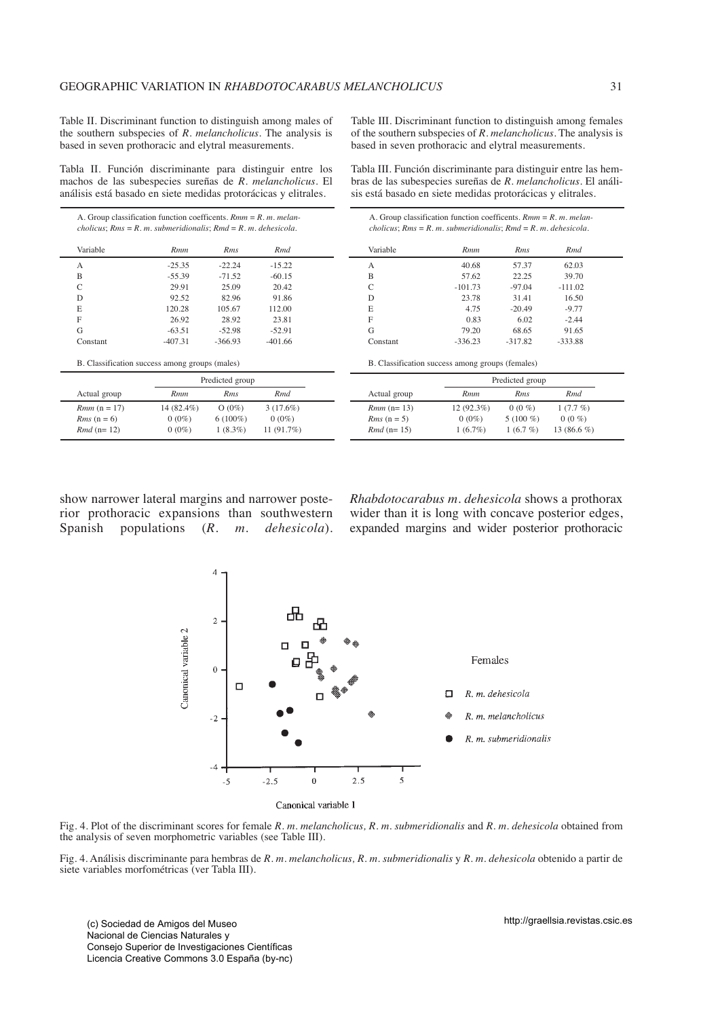Table II. Discriminant function to distinguish among males of the southern subspecies of *R. melancholicus*. The analysis is based in seven prothoracic and elytral measurements.

Table III. Discriminant function to distinguish among females of the southern subspecies of *R. melancholicus*. The analysis is based in seven prothoracic and elytral measurements.

Tabla II. Función discriminante para distinguir entre los machos de las subespecies sureñas de *R. melancholicus.* El análisis está basado en siete medidas protorácicas y elitrales.

Tabla III. Función discriminante para distinguir entre las hembras de las subespecies sureñas de *R. melancholicus.* El análisis está basado en siete medidas protorácicas y elitrales.

| A. Group classification function coefficents. $Rmm = R$ . m. melan-<br>cholicus; $Rms = R$ . m. submeridionalis; $Rmd = R$ . m. dehesicola. |                                                | A. Group classification function coefficents. $Rmm = R.m.$ melan-<br>cholicus; $Rms = R$ . m. submeridionalis; $Rmd = R$ . m. dehesicola. |             |                         |                                                  |              |                |  |
|---------------------------------------------------------------------------------------------------------------------------------------------|------------------------------------------------|-------------------------------------------------------------------------------------------------------------------------------------------|-------------|-------------------------|--------------------------------------------------|--------------|----------------|--|
| Variable                                                                                                                                    | <b>Rmm</b>                                     | Rms                                                                                                                                       | Rmd         | Variable                | Rmm                                              | Rms          | Rmd            |  |
| A                                                                                                                                           | $-25.35$                                       | $-22.24$                                                                                                                                  | $-15.22$    | А                       | 40.68                                            | 57.37        | 62.03          |  |
| B                                                                                                                                           | $-55.39$                                       | $-71.52$                                                                                                                                  | $-60.15$    | B                       | 57.62                                            | 22.25        | 39.70          |  |
| C                                                                                                                                           | 29.91                                          | 25.09                                                                                                                                     | 20.42       |                         | $-101.73$                                        | $-97.04$     | $-111.02$      |  |
| D                                                                                                                                           | 92.52                                          | 82.96                                                                                                                                     | 91.86       | D                       | 23.78                                            | 31.41        | 16.50          |  |
| E                                                                                                                                           | 120.28                                         | 105.67                                                                                                                                    | 112.00      | E                       | 4.75                                             | $-20.49$     | $-9.77$        |  |
| F                                                                                                                                           | 26.92                                          | 28.92                                                                                                                                     | 23.81       |                         | 0.83                                             | 6.02         | $-2.44$        |  |
| G                                                                                                                                           | $-63.51$                                       | $-52.98$                                                                                                                                  | $-52.91$    | G                       | 79.20                                            | 68.65        | 91.65          |  |
| Constant                                                                                                                                    | $-407.31$                                      | $-366.93$                                                                                                                                 | $-401.66$   | Constant                | $-336.23$                                        | $-317.82$    | $-333.88$      |  |
|                                                                                                                                             | B. Classification success among groups (males) |                                                                                                                                           |             |                         | B. Classification success among groups (females) |              |                |  |
| Predicted group                                                                                                                             |                                                |                                                                                                                                           |             | Predicted group         |                                                  |              |                |  |
| Actual group                                                                                                                                | <b>Rmm</b>                                     | Rms                                                                                                                                       | Rmd         | Actual group            | <b>Rmm</b>                                       | Rms          | Rmd            |  |
| <i>Rmm</i> $(n = 17)$                                                                                                                       | $14(82.4\%)$                                   | $O(0\%)$                                                                                                                                  | $3(17.6\%)$ | <i>Rmm</i> $(n=13)$     | $12(92.3\%)$                                     | $0(0\%)$     | $1(7.7\%)$     |  |
| <i>Rms</i> $(n = 6)$                                                                                                                        | $0(0\%)$                                       | $6(100\%)$                                                                                                                                | $0(0\%)$    | <i>Rms</i> $(n = 5)$    | $0(0\%)$                                         | 5 (100 $%$ ) | $0(0\%)$       |  |
| <i>Rmd</i> ( $n=12$ )                                                                                                                       | $0(0\%)$                                       | $1(8.3\%)$                                                                                                                                | 11(91.7%)   | <i>Rmd</i> ( $n = 15$ ) | $1(6.7\%)$                                       | 1(6.7%)      | 13 (86.6 $%$ ) |  |

show narrower lateral margins and narrower posterior prothoracic expansions than southwestern Spanish populations (*R. m. dehesicola*). *Rhabdotocarabus m. dehesicola* shows a prothorax wider than it is long with concave posterior edges, expanded margins and wider posterior prothoracic



Fig. 4. Plot of the discriminant scores for female *R. m. melancholicus, R. m. submeridionalis* and *R. m. dehesicola* obtained from the analysis of seven morphometric variables (see Table III).

Fig. 4. Análisis discriminante para hembras de *R. m. melancholicus, R. m. submeridionalis* y *R. m. dehesicola* obtenido a partir de siete variables morfométricas (ver Tabla III).

(c) Sociedad de Amigos del Museo Nacional de Ciencias Naturales y Consejo Superior de Investigaciones Científicas Licencia Creative Commons 3.0 España (by-nc) http://graellsia.revistas.csic.es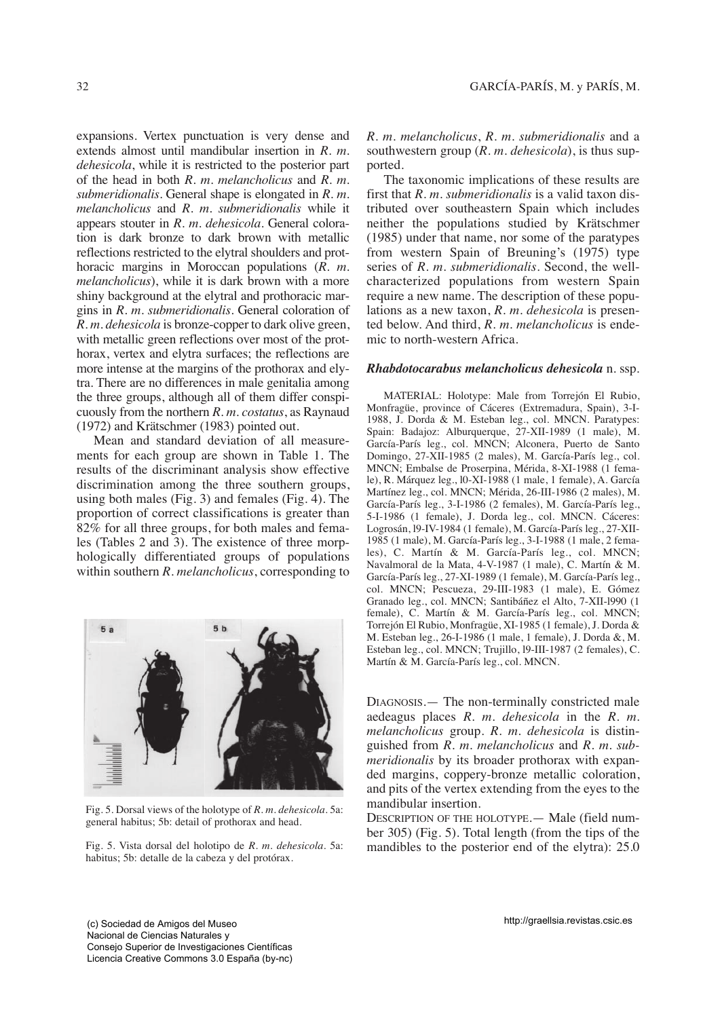expansions. Vertex punctuation is very dense and extends almost until mandibular insertion in *R. m. dehesicola*, while it is restricted to the posterior part of the head in both *R. m. melancholicus* and *R. m. submeridionalis*. General shape is elongated in *R. m. melancholicus* and *R. m. submeridionalis* while it appears stouter in *R. m. dehesicola*. General coloration is dark bronze to dark brown with metallic reflections restricted to the elytral shoulders and prothoracic margins in Moroccan populations (*R. m. melancholicus*), while it is dark brown with a more shiny background at the elytral and prothoracic margins in *R. m. submeridionalis*. General coloration of *R. m. dehesicola* is bronze-copper to dark olive green, with metallic green reflections over most of the prothorax, vertex and elytra surfaces; the reflections are more intense at the margins of the prothorax and elytra. There are no differences in male genitalia among the three groups, although all of them differ conspicuously from the northern *R. m. costatus*, as Raynaud (1972) and Krätschmer (1983) pointed out.

Mean and standard deviation of all measurements for each group are shown in Table 1. The results of the discriminant analysis show effective discrimination among the three southern groups, using both males (Fig. 3) and females (Fig. 4). The proportion of correct classifications is greater than 82% for all three groups, for both males and females (Tables 2 and 3). The existence of three morphologically differentiated groups of populations within southern *R. melancholicus*, corresponding to



Fig. 5. Dorsal views of the holotype of *R. m. dehesicola.* 5a: general habitus; 5b: detail of prothorax and head.

Fig. 5. Vista dorsal del holotipo de *R. m. dehesicola.* 5a: habitus; 5b: detalle de la cabeza y del protórax.

*R. m. melancholicus*, *R. m. submeridionalis* and a southwestern group (*R. m. dehesicola*), is thus supported.

The taxonomic implications of these results are first that *R. m. submeridionalis* is a valid taxon distributed over southeastern Spain which includes neither the populations studied by Krätschmer (1985) under that name, nor some of the paratypes from western Spain of Breuning's (1975) type series of *R. m. submeridionalis*. Second, the wellcharacterized populations from western Spain require a new name. The description of these populations as a new taxon, *R. m. dehesicola* is presented below. And third, *R. m. melancholicus* is endemic to north-western Africa.

#### *Rhabdotocarabus melancholicus dehesicola* n. ssp.

MATERIAL: Holotype: Male from Torrejón El Rubio, Monfragüe, province of Cáceres (Extremadura, Spain), 3-I-1988, J. Dorda & M. Esteban leg., col. MNCN. Paratypes: Spain: Badajoz: Alburquerque, 27-XII-1989 (1 male), M. García-París leg., col. MNCN; Alconera, Puerto de Santo Domingo, 27-XII-1985 (2 males), M. García-París leg., col. MNCN; Embalse de Proserpina, Mérida, 8-XI-1988 (1 female), R. Márquez leg., l0-XI-1988 (1 male, 1 female), A. García Martínez leg., col. MNCN; Mérida, 26-III-1986 (2 males), M. García-París leg., 3-I-1986 (2 females), M. García-París leg., 5-I-1986 (1 female), J. Dorda leg., col. MNCN. Cáceres: Logrosán, l9-IV-1984 (1 female), M. García-París leg., 27-XII-1985 (1 male), M. García-París leg., 3-I-1988 (1 male, 2 females), C. Martín & M. García-París leg., col. MNCN; Navalmoral de la Mata, 4-V-1987 (1 male), C. Martín & M. García-París leg., 27-XI-1989 (1 female), M. García-París leg., col. MNCN; Pescueza, 29-III-1983 (1 male), E. Gómez Granado leg., col. MNCN; Santibáñez el Alto, 7-XII-l990 (1 female), C. Martín & M. García-París leg., col. MNCN; Torrejón El Rubio, Monfragüe, XI-1985 (1 female), J. Dorda & M. Esteban leg., 26-I-1986 (1 male, 1 female), J. Dorda &, M. Esteban leg., col. MNCN; Trujillo, l9-III-1987 (2 females), C. Martín & M. García-París leg., col. MNCN.

DIAGNOSIS.— The non-terminally constricted male aedeagus places *R. m. dehesicola* in the *R. m. melancholicus* group. *R. m. dehesicola* is distinguished from *R. m. melancholicus* and *R. m. submeridionalis* by its broader prothorax with expanded margins, coppery-bronze metallic coloration, and pits of the vertex extending from the eyes to the mandibular insertion.

DESCRIPTION OF THE HOLOTYPE.— Male (field number 305) (Fig. 5). Total length (from the tips of the mandibles to the posterior end of the elytra): 25.0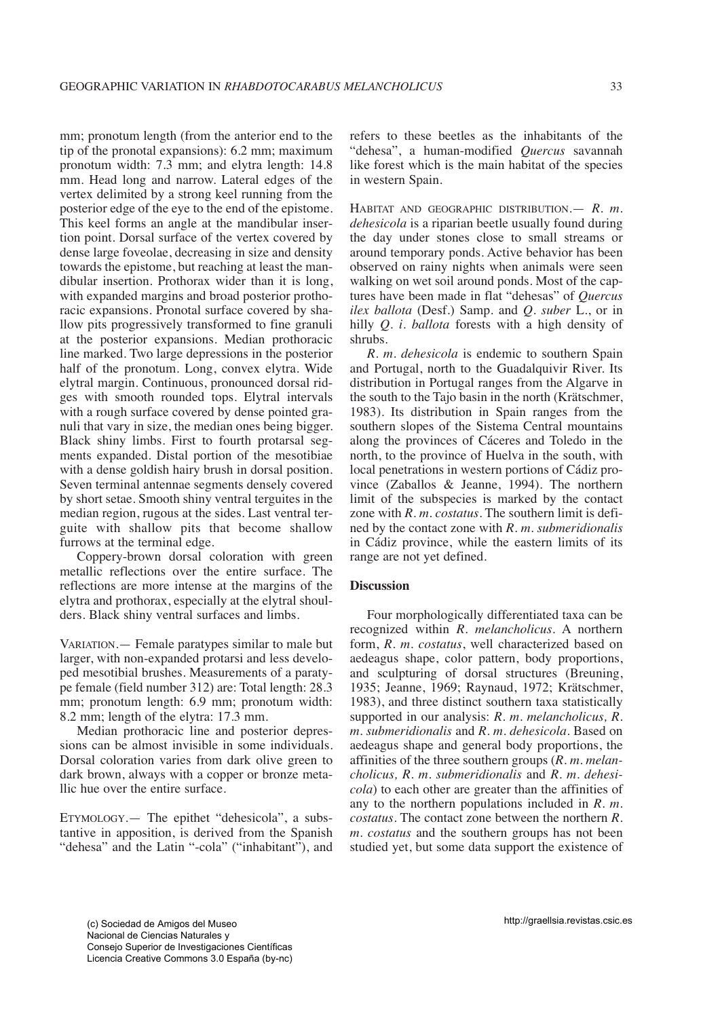mm; pronotum length (from the anterior end to the tip of the pronotal expansions): 6.2 mm; maximum pronotum width: 7.3 mm; and elytra length: 14.8 mm. Head long and narrow. Lateral edges of the vertex delimited by a strong keel running from the posterior edge of the eye to the end of the epistome. This keel forms an angle at the mandibular insertion point. Dorsal surface of the vertex covered by dense large foveolae, decreasing in size and density towards the epistome, but reaching at least the mandibular insertion. Prothorax wider than it is long, with expanded margins and broad posterior prothoracic expansions. Pronotal surface covered by shallow pits progressively transformed to fine granuli at the posterior expansions. Median prothoracic line marked. Two large depressions in the posterior half of the pronotum. Long, convex elytra. Wide elytral margin. Continuous, pronounced dorsal ridges with smooth rounded tops. Elytral intervals with a rough surface covered by dense pointed granuli that vary in size, the median ones being bigger. Black shiny limbs. First to fourth protarsal segments expanded. Distal portion of the mesotibiae with a dense goldish hairy brush in dorsal position. Seven terminal antennae segments densely covered by short setae. Smooth shiny ventral terguites in the median region, rugous at the sides. Last ventral terguite with shallow pits that become shallow furrows at the terminal edge.

Coppery-brown dorsal coloration with green metallic reflections over the entire surface. The reflections are more intense at the margins of the elytra and prothorax, especially at the elytral shoulders. Black shiny ventral surfaces and limbs.

VARIATION.— Female paratypes similar to male but larger, with non-expanded protarsi and less developed mesotibial brushes. Measurements of a paratype female (field number 312) are: Total length: 28.3 mm; pronotum length: 6.9 mm; pronotum width: 8.2 mm; length of the elytra: 17.3 mm.

Median prothoracic line and posterior depressions can be almost invisible in some individuals. Dorsal coloration varies from dark olive green to dark brown, always with a copper or bronze metallic hue over the entire surface.

ETYMOLOGY.— The epithet "dehesicola", a substantive in apposition, is derived from the Spanish "dehesa" and the Latin "-cola" ("inhabitant"), and refers to these beetles as the inhabitants of the "dehesa", a human-modified *Quercus* savannah like forest which is the main habitat of the species in western Spain.

HABITAT AND GEOGRAPHIC DISTRIBUTION.— *R. m. dehesicola* is a riparian beetle usually found during the day under stones close to small streams or around temporary ponds. Active behavior has been observed on rainy nights when animals were seen walking on wet soil around ponds. Most of the captures have been made in flat "dehesas" of *Quercus ilex ballota* (Desf.) Samp. and *Q. suber* L., or in hilly *Q. i. ballota* forests with a high density of shrubs.

*R. m. dehesicola* is endemic to southern Spain and Portugal, north to the Guadalquivir River. Its distribution in Portugal ranges from the Algarve in the south to the Tajo basin in the north (Krätschmer, 1983). Its distribution in Spain ranges from the southern slopes of the Sistema Central mountains along the provinces of Cáceres and Toledo in the north, to the province of Huelva in the south, with local penetrations in western portions of Cádiz province (Zaballos & Jeanne, 1994). The northern limit of the subspecies is marked by the contact zone with *R. m. costatus*. The southern limit is defined by the contact zone with *R. m. submeridionalis* in Cádiz province, while the eastern limits of its range are not yet defined.

# **Discussion**

Four morphologically differentiated taxa can be recognized within *R. melancholicus.* A northern form, *R. m. costatus*, well characterized based on aedeagus shape, color pattern, body proportions, and sculpturing of dorsal structures (Breuning, 1935; Jeanne, 1969; Raynaud, 1972; Krätschmer, 1983), and three distinct southern taxa statistically supported in our analysis: *R. m. melancholicus, R. m. submeridionalis* and *R. m. dehesicola*. Based on aedeagus shape and general body proportions, the affinities of the three southern groups (*R. m. melancholicus, R. m. submeridionalis* and *R. m. dehesicola*) to each other are greater than the affinities of any to the northern populations included in *R. m. costatus*. The contact zone between the northern *R. m. costatus* and the southern groups has not been studied yet, but some data support the existence of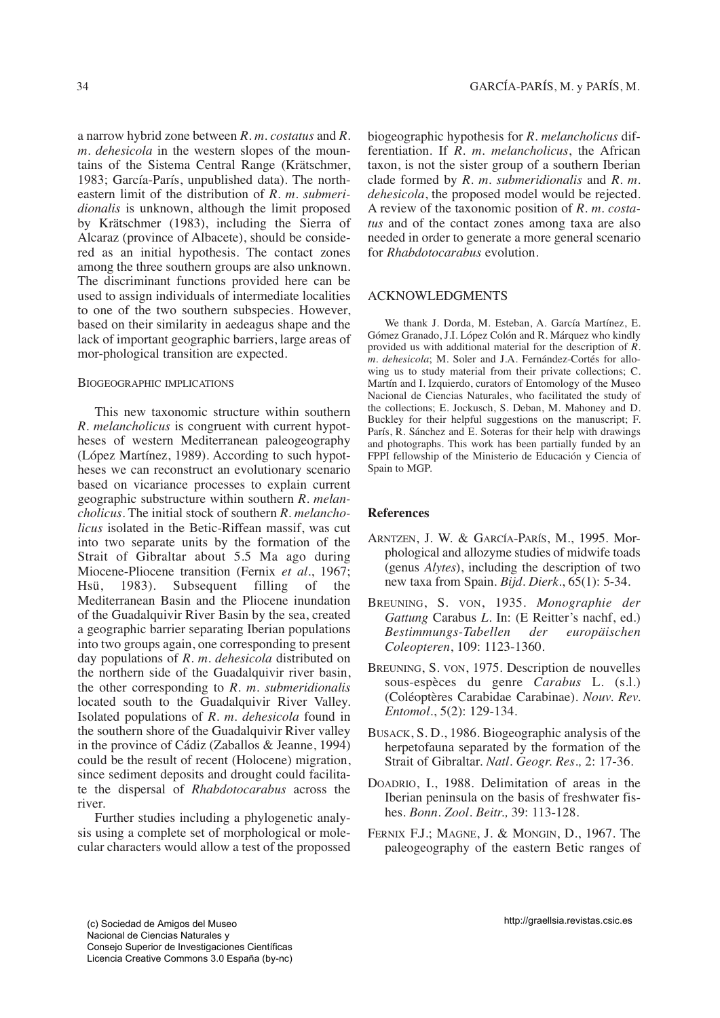a narrow hybrid zone between *R. m. costatus* and *R. m. dehesicola* in the western slopes of the mountains of the Sistema Central Range (Krätschmer, 1983; García-París, unpublished data). The northeastern limit of the distribution of *R. m. submeridionalis* is unknown, although the limit proposed by Krätschmer (1983), including the Sierra of Alcaraz (province of Albacete), should be considered as an initial hypothesis. The contact zones among the three southern groups are also unknown. The discriminant functions provided here can be used to assign individuals of intermediate localities to one of the two southern subspecies. However, based on their similarity in aedeagus shape and the lack of important geographic barriers, large areas of mor-phological transition are expected.

#### BIOGEOGRAPHIC IMPLICATIONS

This new taxonomic structure within southern *R. melancholicus* is congruent with current hypotheses of western Mediterranean paleogeography (López Martínez, 1989). According to such hypotheses we can reconstruct an evolutionary scenario based on vicariance processes to explain current geographic substructure within southern *R. melancholicus*. The initial stock of southern *R. melancholicus* isolated in the Betic-Riffean massif, was cut into two separate units by the formation of the Strait of Gibraltar about 5.5 Ma ago during Miocene-Pliocene transition (Fernix *et al*., 1967; Hsü, 1983). Subsequent filling of the Mediterranean Basin and the Pliocene inundation of the Guadalquivir River Basin by the sea, created a geographic barrier separating Iberian populations into two groups again, one corresponding to present day populations of *R. m. dehesicola* distributed on the northern side of the Guadalquivir river basin, the other corresponding to *R. m. submeridionalis* located south to the Guadalquivir River Valley. Isolated populations of *R. m. dehesicola* found in the southern shore of the Guadalquivir River valley in the province of Cádiz (Zaballos & Jeanne, 1994) could be the result of recent (Holocene) migration, since sediment deposits and drought could facilitate the dispersal of *Rhabdotocarabus* across the river.

Further studies including a phylogenetic analysis using a complete set of morphological or molecular characters would allow a test of the propossed biogeographic hypothesis for *R. melancholicus* differentiation. If *R. m. melancholicus*, the African taxon, is not the sister group of a southern Iberian clade formed by *R. m. submeridionalis* and *R. m. dehesicola*, the proposed model would be rejected. A review of the taxonomic position of *R. m. costatus* and of the contact zones among taxa are also needed in order to generate a more general scenario for *Rhabdotocarabus* evolution.

## ACKNOWLEDGMENTS

We thank J. Dorda, M. Esteban, A. García Martínez, E. Gómez Granado, J.I. López Colón and R. Márquez who kindly provided us with additional material for the description of *R. m. dehesicola*; M. Soler and J.A. Fernández-Cortés for allowing us to study material from their private collections; C. Martín and I. Izquierdo, curators of Entomology of the Museo Nacional de Ciencias Naturales, who facilitated the study of the collections; E. Jockusch, S. Deban, M. Mahoney and D. Buckley for their helpful suggestions on the manuscript; F. París, R. Sánchez and E. Soteras for their help with drawings and photographs. This work has been partially funded by an FPPI fellowship of the Ministerio de Educación y Ciencia of Spain to MGP.

# **References**

- ARNTZEN, J. W. & GARCÍA-PARÍS, M., 1995. Morphological and allozyme studies of midwife toads (genus *Alytes*), including the description of two new taxa from Spain. *Bijd. Dierk*., 65(1): 5-34.
- BREUNING, S. VON, 1935. *Monographie der Gattung* Carabus *L*. In: (E Reitter's nachf, ed.) *Bestimmungs-Tabellen der europäischen Coleopteren*, 109: 1123-1360.
- BREUNING, S. VON, 1975. Description de nouvelles sous-espèces du genre *Carabus* L. (s.l.) (Coléoptères Carabidae Carabinae). *Nouv. Rev. Entomol*., 5(2): 129-134.
- BUSACK, S. D., 1986. Biogeographic analysis of the herpetofauna separated by the formation of the Strait of Gibraltar. *Natl. Geogr. Res.,* 2: 17-36.
- DOADRIO, I., 1988. Delimitation of areas in the Iberian peninsula on the basis of freshwater fishes. *Bonn. Zool. Beitr.,* 39: 113-128.
- FERNIX F.J.; MAGNE, J. & MONGIN, D., 1967. The paleogeography of the eastern Betic ranges of